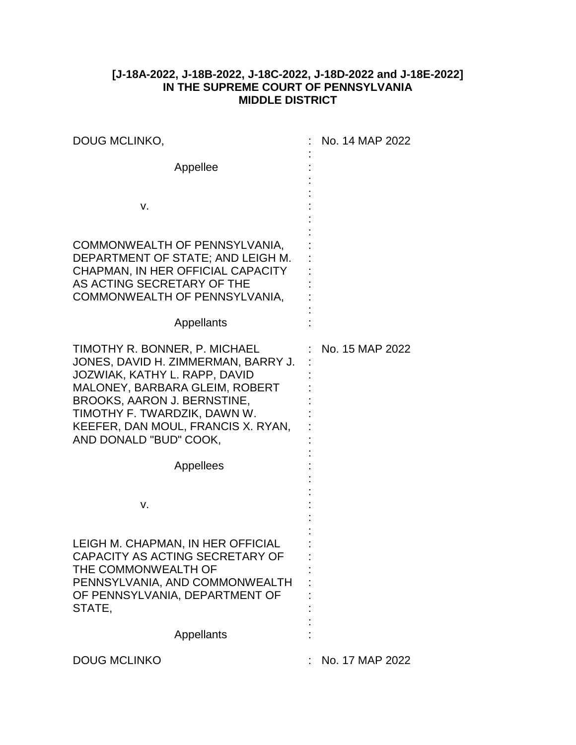## **[J-18A-2022, J-18B-2022, J-18C-2022, J-18D-2022 and J-18E-2022] IN THE SUPREME COURT OF PENNSYLVANIA MIDDLE DISTRICT**

| DOUG MCLINKO,                                                                                                                                                                                                                                                          | No. 14 MAP 2022 |
|------------------------------------------------------------------------------------------------------------------------------------------------------------------------------------------------------------------------------------------------------------------------|-----------------|
| Appellee                                                                                                                                                                                                                                                               |                 |
| v.                                                                                                                                                                                                                                                                     |                 |
| COMMONWEALTH OF PENNSYLVANIA,<br>DEPARTMENT OF STATE; AND LEIGH M.<br>CHAPMAN, IN HER OFFICIAL CAPACITY<br>AS ACTING SECRETARY OF THE<br>COMMONWEALTH OF PENNSYLVANIA,                                                                                                 |                 |
| Appellants                                                                                                                                                                                                                                                             |                 |
| TIMOTHY R. BONNER, P. MICHAEL<br>JONES, DAVID H. ZIMMERMAN, BARRY J.<br>JOZWIAK, KATHY L. RAPP, DAVID<br>MALONEY, BARBARA GLEIM, ROBERT<br>BROOKS, AARON J. BERNSTINE,<br>TIMOTHY F. TWARDZIK, DAWN W.<br>KEEFER, DAN MOUL, FRANCIS X. RYAN,<br>AND DONALD "BUD" COOK, | No. 15 MAP 2022 |
| Appellees                                                                                                                                                                                                                                                              |                 |
| v.                                                                                                                                                                                                                                                                     |                 |
| LEIGH M. CHAPMAN, IN HER OFFICIAL<br>CAPACITY AS ACTING SECRETARY OF<br>THE COMMONWEALTH OF<br>PENNSYLVANIA, AND COMMONWEALTH<br>OF PENNSYLVANIA, DEPARTMENT OF<br>STATE,                                                                                              |                 |
| Appellants                                                                                                                                                                                                                                                             |                 |
| <b>DOUG MCLINKO</b>                                                                                                                                                                                                                                                    | No. 17 MAP 2022 |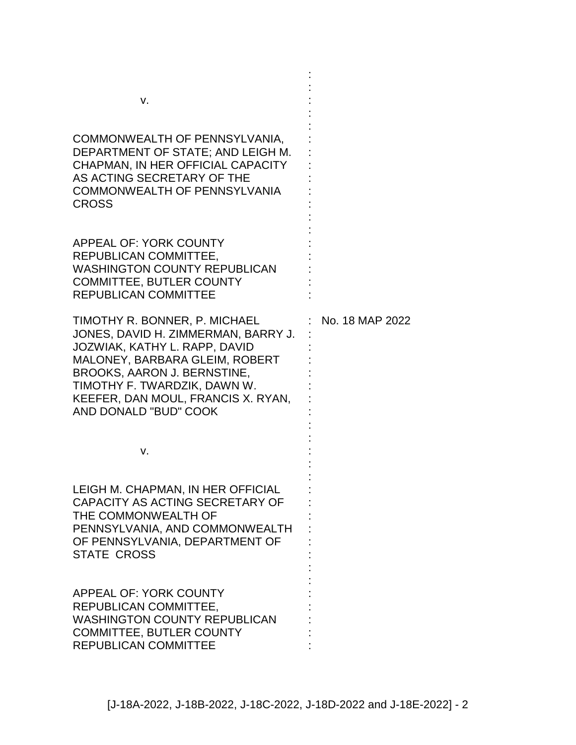| v.<br>COMMONWEALTH OF PENNSYLVANIA,<br>DEPARTMENT OF STATE; AND LEIGH M.<br>CHAPMAN, IN HER OFFICIAL CAPACITY<br>AS ACTING SECRETARY OF THE<br><b>COMMONWEALTH OF PENNSYLVANIA</b><br><b>CROSS</b>                                                                    |                 |
|-----------------------------------------------------------------------------------------------------------------------------------------------------------------------------------------------------------------------------------------------------------------------|-----------------|
| APPEAL OF: YORK COUNTY<br>REPUBLICAN COMMITTEE,<br><b>WASHINGTON COUNTY REPUBLICAN</b><br><b>COMMITTEE, BUTLER COUNTY</b><br><b>REPUBLICAN COMMITTEE</b>                                                                                                              |                 |
| TIMOTHY R. BONNER, P. MICHAEL<br>JONES, DAVID H. ZIMMERMAN, BARRY J.<br>JOZWIAK, KATHY L. RAPP, DAVID<br>MALONEY, BARBARA GLEIM, ROBERT<br>BROOKS, AARON J. BERNSTINE,<br>TIMOTHY F. TWARDZIK, DAWN W.<br>KEEFER, DAN MOUL, FRANCIS X. RYAN,<br>AND DONALD "BUD" COOK | No. 18 MAP 2022 |
| v.                                                                                                                                                                                                                                                                    |                 |
| LEIGH M. CHAPMAN, IN HER OFFICIAL<br>CAPACITY AS ACTING SECRETARY OF<br>THE COMMONWEALTH OF<br>PENNSYLVANIA, AND COMMONWEALTH<br>OF PENNSYLVANIA, DEPARTMENT OF<br><b>STATE CROSS</b>                                                                                 |                 |
| APPEAL OF: YORK COUNTY<br>REPUBLICAN COMMITTEE,<br><b>WASHINGTON COUNTY REPUBLICAN</b><br><b>COMMITTEE, BUTLER COUNTY</b><br><b>REPUBLICAN COMMITTEE</b>                                                                                                              |                 |